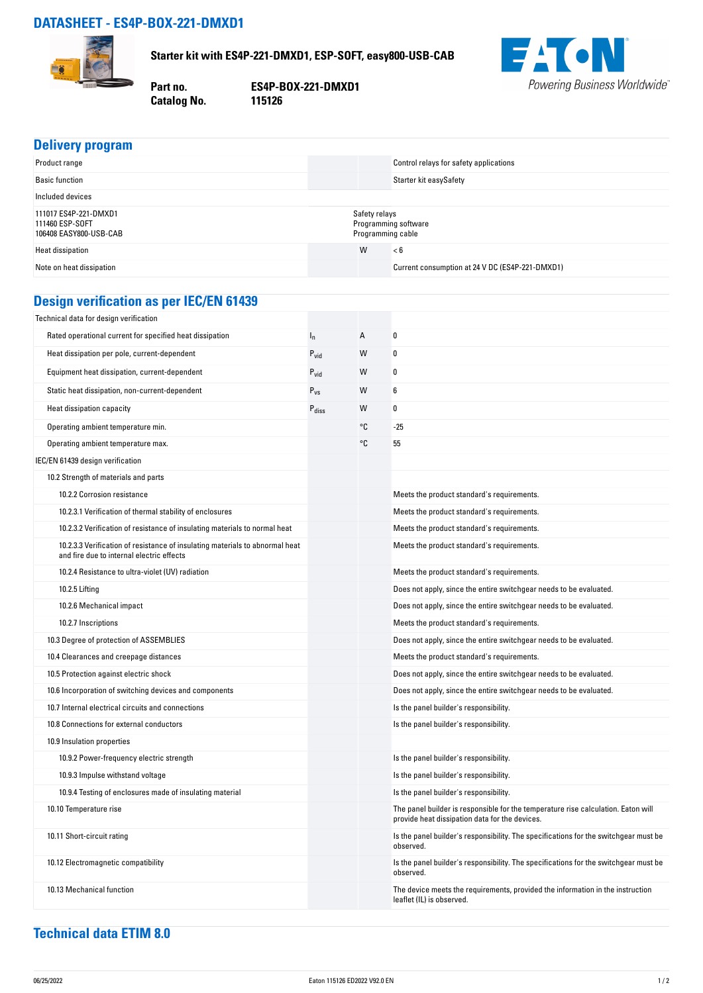## **DATASHEET - ES4P-BOX-221-DMXD1**



**Starter kit with ES4P-221-DMXD1, ESP-SOFT, easy800-USB-CAB**

**Catalog No.** 

**Part no. ES4P-BOX-221-DMXD1**



|  | Delivery program |
|--|------------------|
|  |                  |

| Product range                                                      | Control relays for safety applications                     |  |
|--------------------------------------------------------------------|------------------------------------------------------------|--|
| <b>Basic function</b>                                              | Starter kit easySafety                                     |  |
| Included devices                                                   |                                                            |  |
| 111017 ES4P-221-DMXD1<br>111460 ESP-SOFT<br>106408 EASY800-USB-CAB | Safety relays<br>Programming software<br>Programming cable |  |
| Heat dissipation                                                   | W<br>< 6                                                   |  |
| Note on heat dissipation                                           | Current consumption at 24 V DC (ES4P-221-DMXD1)            |  |

## **Design verification as per IEC/EN 61439**

| Technical data for design verification                                                                                    |                   |    |                                                                                                                                     |
|---------------------------------------------------------------------------------------------------------------------------|-------------------|----|-------------------------------------------------------------------------------------------------------------------------------------|
| Rated operational current for specified heat dissipation                                                                  | $I_n$             | A  | 0                                                                                                                                   |
| Heat dissipation per pole, current-dependent                                                                              | $P_{\text{vid}}$  | W  | 0                                                                                                                                   |
| Equipment heat dissipation, current-dependent                                                                             | $P_{\text{vid}}$  | W  | 0                                                                                                                                   |
| Static heat dissipation, non-current-dependent                                                                            | $P_{VS}$          | W  | 6                                                                                                                                   |
| Heat dissipation capacity                                                                                                 | $P_{\text{diss}}$ | W  | 0                                                                                                                                   |
| Operating ambient temperature min.                                                                                        |                   | °C | $-25$                                                                                                                               |
| Operating ambient temperature max.                                                                                        |                   | °C | 55                                                                                                                                  |
| IEC/EN 61439 design verification                                                                                          |                   |    |                                                                                                                                     |
| 10.2 Strength of materials and parts                                                                                      |                   |    |                                                                                                                                     |
| 10.2.2 Corrosion resistance                                                                                               |                   |    | Meets the product standard's requirements.                                                                                          |
| 10.2.3.1 Verification of thermal stability of enclosures                                                                  |                   |    | Meets the product standard's requirements.                                                                                          |
| 10.2.3.2 Verification of resistance of insulating materials to normal heat                                                |                   |    | Meets the product standard's requirements.                                                                                          |
| 10.2.3.3 Verification of resistance of insulating materials to abnormal heat<br>and fire due to internal electric effects |                   |    | Meets the product standard's requirements.                                                                                          |
| 10.2.4 Resistance to ultra-violet (UV) radiation                                                                          |                   |    | Meets the product standard's requirements.                                                                                          |
| 10.2.5 Lifting                                                                                                            |                   |    | Does not apply, since the entire switchgear needs to be evaluated.                                                                  |
| 10.2.6 Mechanical impact                                                                                                  |                   |    | Does not apply, since the entire switchgear needs to be evaluated.                                                                  |
| 10.2.7 Inscriptions                                                                                                       |                   |    | Meets the product standard's requirements.                                                                                          |
| 10.3 Degree of protection of ASSEMBLIES                                                                                   |                   |    | Does not apply, since the entire switchgear needs to be evaluated.                                                                  |
| 10.4 Clearances and creepage distances                                                                                    |                   |    | Meets the product standard's requirements.                                                                                          |
| 10.5 Protection against electric shock                                                                                    |                   |    | Does not apply, since the entire switchgear needs to be evaluated.                                                                  |
| 10.6 Incorporation of switching devices and components                                                                    |                   |    | Does not apply, since the entire switchgear needs to be evaluated.                                                                  |
| 10.7 Internal electrical circuits and connections                                                                         |                   |    | Is the panel builder's responsibility.                                                                                              |
| 10.8 Connections for external conductors                                                                                  |                   |    | Is the panel builder's responsibility.                                                                                              |
| 10.9 Insulation properties                                                                                                |                   |    |                                                                                                                                     |
| 10.9.2 Power-frequency electric strength                                                                                  |                   |    | Is the panel builder's responsibility.                                                                                              |
| 10.9.3 Impulse withstand voltage                                                                                          |                   |    | Is the panel builder's responsibility.                                                                                              |
| 10.9.4 Testing of enclosures made of insulating material                                                                  |                   |    | Is the panel builder's responsibility.                                                                                              |
| 10.10 Temperature rise                                                                                                    |                   |    | The panel builder is responsible for the temperature rise calculation. Eaton will<br>provide heat dissipation data for the devices. |
| 10.11 Short-circuit rating                                                                                                |                   |    | Is the panel builder's responsibility. The specifications for the switchgear must be<br>observed.                                   |
| 10.12 Electromagnetic compatibility                                                                                       |                   |    | Is the panel builder's responsibility. The specifications for the switchgear must be<br>observed.                                   |
| 10.13 Mechanical function                                                                                                 |                   |    | The device meets the requirements, provided the information in the instruction<br>leaflet (IL) is observed.                         |

## **Technical data ETIM 8.0**